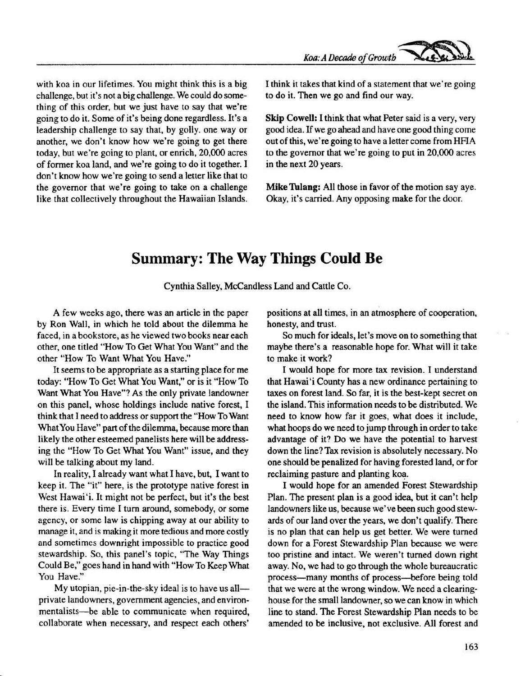with koa in our lifetimes. You might think this is a big challenge, but it's not a big challenge. We could do something of this order, but we just have to say that we're going to do it. Some of it's being done regardless. It's a leadership challenge to say that, by golly. one way or another, we don't know how we're going to get there today, but we're going to plant, or enrich, 20,000 acres of former koa land, and we're going to do it together. I don't know how we're going to send a letter like that to the governor that we're going to take on a challenge like that collectively throughout the Hawaiian Islands. I think it takes that kind of a statement that we're going to do it. Then we go and find our way.

Skip Cowell: I think that what Peter said is a very, very good idea. If we go ahead and have one good thing come out of this, we're going to have a letter come from HFIA to the governor that we're going to put in 20,000 acres in the next 20 years.

Mike Tulang: All those in favor of the motion say aye. Okay, it's carried. Any opposing make for the door.

## **Summary: The Way Things Could Be**

Cynthia Salley, McCandless Land and Cattle Co.

A few weeks ago, there was an article in the paper by Ron Wall, in which he told about the dilemma he faced, in a bookstore, as he viewed two books near each other, one titled "How To Get What You Want" and the other "How To Want What You Have."

It seems to be appropriate as a starting place for me today: "How To Get What You Want," or is it "How To Want What You Have"? As the only private landowner on this panel, whose holdings include native forest, I think that I need to address or support the "How To Want What You Have" part of the dilemma, because more than likely the other esteemed panelists here will be addressing the "How To Get What You Want" issue, and they will be talking about my land.

In reality, I already want what I have, but, I want to keep it. The "it" here, is the prototype native forest in West Hawai'i. It might not be perfect, but it's the best there is. Every time I turn around, somebody, or some agency, or some law is chipping away at our ability to manage it, and is making it more tedious and more costly and sometimes downright impossible to practice good stewardship. So, this panel's topic, "The Way Things Could Be," goes hand in hand with "How To Keep What You Have."

My utopian, pie-in-the-sky ideal is to have us all private landowners, government agencies, and environmentalists-be able to communicate when required, collaborate when necessary, and respect each others'

positions at all times, in an atmosphere of cooperation, honesty, and trust.

So much for ideals, let's move on to something that maybe there's a reasonable hope for. What will it take to make it work?

I would hope for more tax revision. I understand that Hawai'i County has a new ordinance pertaining to taxes on forest land. So far, it is the best-kept secret on the island. This information needs to be distributed. We need to know how far it goes, what does it include, what hoops do we need to jump through in order to take advantage of it? Do we have the potential to harvest down the line? Tax revision is absolutely necessary. No one should be penalized for having forested land, or for reclaiming pasture and planting koa.

I would hope for an amended Forest Stewardship Plan. The present plan is a good idea, but it can't help landowners like us, because we've been such good stewards of our land over the years, we don't qualify. There is no plan that can help us get better. We were turned down for a Forest Stewardship Plan because we were too pristine and intact. We weren't turned down right away. No, we had to go through the whole bureaucratic process-many months of process-before being told that we were at the wrong window. We need a clearinghouse for the small landowner, so we can know in which line to stand. The Forest Stewardship Plan needs to be amended to be inclusive, not exclusive. All forest and